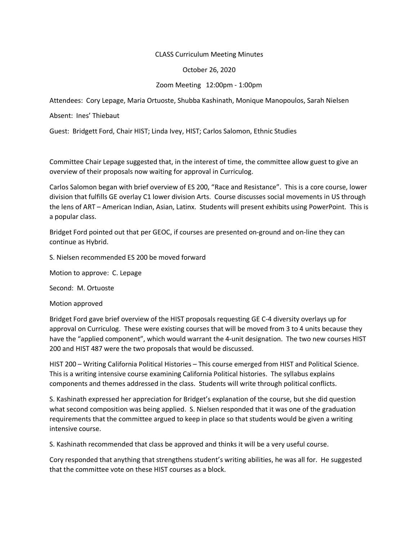## CLASS Curriculum Meeting Minutes

## October 26, 2020

## Zoom Meeting 12:00pm - 1:00pm

Attendees: Cory Lepage, Maria Ortuoste, Shubba Kashinath, Monique Manopoulos, Sarah Nielsen

Absent: Ines' Thiebaut

Guest: Bridgett Ford, Chair HIST; Linda Ivey, HIST; Carlos Salomon, Ethnic Studies

Committee Chair Lepage suggested that, in the interest of time, the committee allow guest to give an overview of their proposals now waiting for approval in Curriculog.

Carlos Salomon began with brief overview of ES 200, "Race and Resistance". This is a core course, lower division that fulfills GE overlay C1 lower division Arts. Course discusses social movements in US through the lens of ART – American Indian, Asian, Latinx. Students will present exhibits using PowerPoint. This is a popular class.

Bridget Ford pointed out that per GEOC, if courses are presented on-ground and on-line they can continue as Hybrid.

S. Nielsen recommended ES 200 be moved forward

Motion to approve: C. Lepage

Second: M. Ortuoste

Motion approved

Bridget Ford gave brief overview of the HIST proposals requesting GE C-4 diversity overlays up for approval on Curriculog. These were existing courses that will be moved from 3 to 4 units because they have the "applied component", which would warrant the 4-unit designation. The two new courses HIST 200 and HIST 487 were the two proposals that would be discussed.

HIST 200 – Writing California Political Histories – This course emerged from HIST and Political Science. This is a writing intensive course examining California Political histories. The syllabus explains components and themes addressed in the class. Students will write through political conflicts.

S. Kashinath expressed her appreciation for Bridget's explanation of the course, but she did question what second composition was being applied. S. Nielsen responded that it was one of the graduation requirements that the committee argued to keep in place so that students would be given a writing intensive course.

S. Kashinath recommended that class be approved and thinks it will be a very useful course.

Cory responded that anything that strengthens student's writing abilities, he was all for. He suggested that the committee vote on these HIST courses as a block.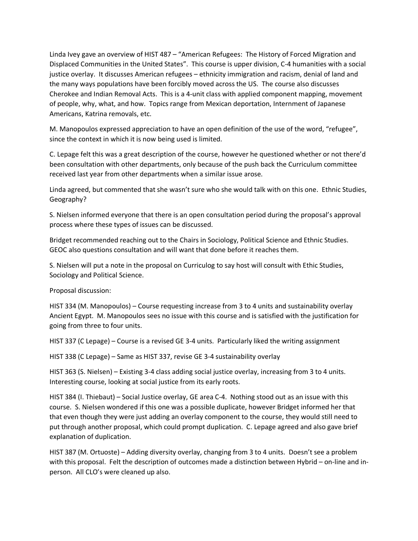Linda Ivey gave an overview of HIST 487 – "American Refugees: The History of Forced Migration and Displaced Communities in the United States". This course is upper division, C-4 humanities with a social justice overlay. It discusses American refugees – ethnicity immigration and racism, denial of land and the many ways populations have been forcibly moved across the US. The course also discusses Cherokee and Indian Removal Acts. This is a 4-unit class with applied component mapping, movement of people, why, what, and how. Topics range from Mexican deportation, Internment of Japanese Americans, Katrina removals, etc.

M. Manopoulos expressed appreciation to have an open definition of the use of the word, "refugee", since the context in which it is now being used is limited.

C. Lepage felt this was a great description of the course, however he questioned whether or not there'd been consultation with other departments, only because of the push back the Curriculum committee received last year from other departments when a similar issue arose.

Linda agreed, but commented that she wasn't sure who she would talk with on this one. Ethnic Studies, Geography?

S. Nielsen informed everyone that there is an open consultation period during the proposal's approval process where these types of issues can be discussed.

Bridget recommended reaching out to the Chairs in Sociology, Political Science and Ethnic Studies. GEOC also questions consultation and will want that done before it reaches them.

S. Nielsen will put a note in the proposal on Curriculog to say host will consult with Ethic Studies, Sociology and Political Science.

Proposal discussion:

HIST 334 (M. Manopoulos) – Course requesting increase from 3 to 4 units and sustainability overlay Ancient Egypt. M. Manopoulos sees no issue with this course and is satisfied with the justification for going from three to four units.

HIST 337 (C Lepage) – Course is a revised GE 3-4 units. Particularly liked the writing assignment

HIST 338 (C Lepage) – Same as HIST 337, revise GE 3-4 sustainability overlay

HIST 363 (S. Nielsen) – Existing 3-4 class adding social justice overlay, increasing from 3 to 4 units. Interesting course, looking at social justice from its early roots.

HIST 384 (I. Thiebaut) – Social Justice overlay, GE area C-4. Nothing stood out as an issue with this course. S. Nielsen wondered if this one was a possible duplicate, however Bridget informed her that that even though they were just adding an overlay component to the course, they would still need to put through another proposal, which could prompt duplication. C. Lepage agreed and also gave brief explanation of duplication.

HIST 387 (M. Ortuoste) – Adding diversity overlay, changing from 3 to 4 units. Doesn't see a problem with this proposal. Felt the description of outcomes made a distinction between Hybrid – on-line and inperson. All CLO's were cleaned up also.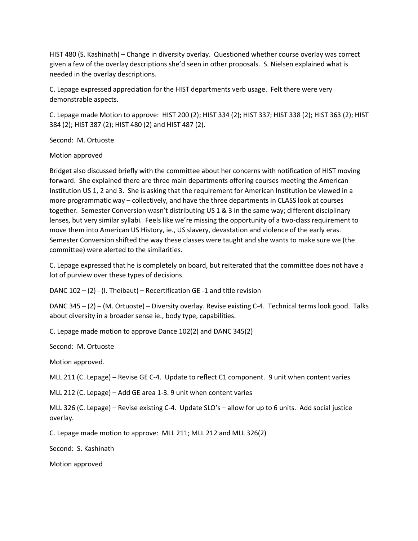HIST 480 (S. Kashinath) – Change in diversity overlay. Questioned whether course overlay was correct given a few of the overlay descriptions she'd seen in other proposals. S. Nielsen explained what is needed in the overlay descriptions.

C. Lepage expressed appreciation for the HIST departments verb usage. Felt there were very demonstrable aspects.

C. Lepage made Motion to approve: HIST 200 (2); HIST 334 (2); HIST 337; HIST 338 (2); HIST 363 (2); HIST 384 (2); HIST 387 (2); HIST 480 (2) and HIST 487 (2).

Second: M. Ortuoste

Motion approved

Bridget also discussed briefly with the committee about her concerns with notification of HIST moving forward. She explained there are three main departments offering courses meeting the American Institution US 1, 2 and 3. She is asking that the requirement for American Institution be viewed in a more programmatic way – collectively, and have the three departments in CLASS look at courses together. Semester Conversion wasn't distributing US 1 & 3 in the same way; different disciplinary lenses, but very similar syllabi. Feels like we're missing the opportunity of a two-class requirement to move them into American US History, ie., US slavery, devastation and violence of the early eras. Semester Conversion shifted the way these classes were taught and she wants to make sure we (the committee) were alerted to the similarities.

C. Lepage expressed that he is completely on board, but reiterated that the committee does not have a lot of purview over these types of decisions.

DANC  $102 - (2)$  - (I. Theibaut) – Recertification GE -1 and title revision

DANC 345 – (2) – (M. Ortuoste) – Diversity overlay. Revise existing C-4. Technical terms look good. Talks about diversity in a broader sense ie., body type, capabilities.

C. Lepage made motion to approve Dance 102(2) and DANC 345(2)

Second: M. Ortuoste

Motion approved.

MLL 211 (C. Lepage) – Revise GE C-4. Update to reflect C1 component. 9 unit when content varies

MLL 212 (C. Lepage) – Add GE area 1-3. 9 unit when content varies

MLL 326 (C. Lepage) – Revise existing C-4. Update SLO's – allow for up to 6 units. Add social justice overlay.

C. Lepage made motion to approve: MLL 211; MLL 212 and MLL 326(2)

Second: S. Kashinath

Motion approved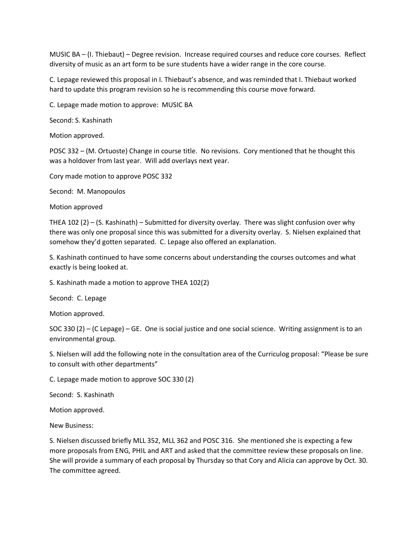MUSIC BA – (I. Thiebaut) – Degree revision. Increase required courses and reduce core courses. Reflect diversity of music as an art form to be sure students have a wider range in the core course.

C. Lepage reviewed this proposal in I. Thiebaut's absence, and was reminded that I. Thiebaut worked hard to update this program revision so he is recommending this course move forward.

C. Lepage made motion to approve: MUSIC BA

Second: S. Kashinath

Motion approved.

POSC 332 – (M. Ortuoste) Change in course title. No revisions. Cory mentioned that he thought this was a holdover from last year. Will add overlays next year.

Cory made motion to approve POSC 332

Second: M. Manopoulos

Motion approved

THEA 102 (2) – (S. Kashinath) – Submitted for diversity overlay. There was slight confusion over why there was only one proposal since this was submitted for a diversity overlay. S. Nielsen explained that somehow they'd gotten separated. C. Lepage also offered an explanation.

S. Kashinath continued to have some concerns about understanding the courses outcomes and what exactly is being looked at.

S. Kashinath made a motion to approve THEA 102(2)

Second: C. Lepage

Motion approved.

SOC 330 (2) – (C Lepage) – GE. One is social justice and one social science. Writing assignment is to an environmental group.

S. Nielsen will add the following note in the consultation area of the Curriculog proposal: "Please be sure to consult with other departments"

C. Lepage made motion to approve SOC 330 (2)

Second: S. Kashinath

Motion approved.

New Business:

S. Nielsen discussed briefly MLL 352, MLL 362 and POSC 316. She mentioned she is expecting a few more proposals from ENG, PHIL and ART and asked that the committee review these proposals on line. She will provide a summary of each proposal by Thursday so that Cory and Alicia can approve by Oct. 30. The committee agreed.